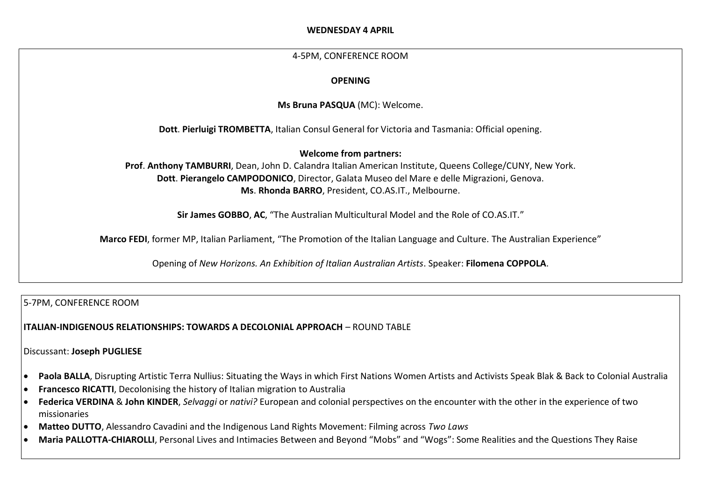# **WEDNESDAY 4 APRIL**

# 4-5PM, CONFERENCE ROOM

# **OPENING**

**Ms Bruna PASQUA** (MC): Welcome.

**Dott**. **Pierluigi TROMBETTA**, Italian Consul General for Victoria and Tasmania: Official opening.

**Welcome from partners:**

**Prof**. **Anthony TAMBURRI**, Dean, John D. Calandra Italian American Institute, Queens College/CUNY, New York. **Dott**. **Pierangelo CAMPODONICO**, Director, Galata Museo del Mare e delle Migrazioni, Genova. **Ms**. **Rhonda BARRO**, President, CO.AS.IT., Melbourne.

**Sir James GOBBO**, **AC**, "The Australian Multicultural Model and the Role of CO.AS.IT."

**Marco FEDI**, former MP, Italian Parliament, "The Promotion of the Italian Language and Culture. The Australian Experience"

Opening of *New Horizons. An Exhibition of Italian Australian Artists*. Speaker: **Filomena COPPOLA**.

5-7PM, CONFERENCE ROOM

**ITALIAN-INDIGENOUS RELATIONSHIPS: TOWARDS A DECOLONIAL APPROACH** – ROUND TABLE

Discussant: **Joseph PUGLIESE**

- **Paola BALLA**, Disrupting Artistic Terra Nullius: Situating the Ways in which First Nations Women Artists and Activists Speak Blak & Back to Colonial Australia
- **Francesco RICATTI**, Decolonising the history of Italian migration to Australia
- **Federica VERDINA** & **John KINDER**, *Selvaggi* or *nativi?* European and colonial perspectives on the encounter with the other in the experience of two missionaries
- **Matteo DUTTO**, Alessandro Cavadini and the Indigenous Land Rights Movement: Filming across *Two Laws*
- **Maria PALLOTTA-CHIAROLLI**, Personal Lives and Intimacies Between and Beyond "Mobs" and "Wogs": Some Realities and the Questions They Raise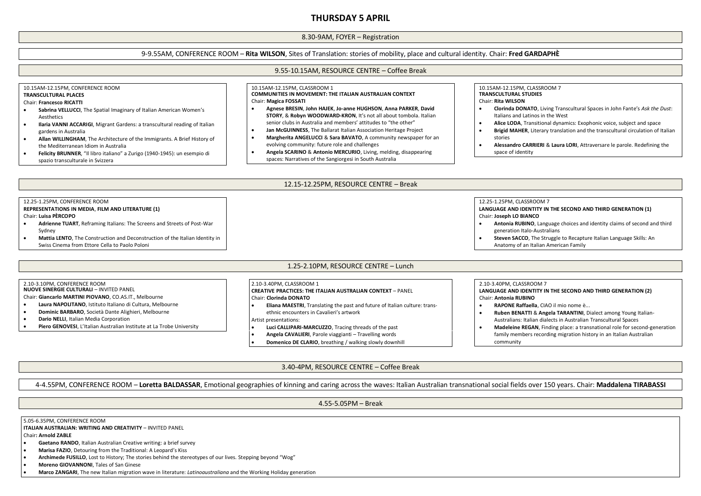# **THURSDAY 5 APRIL**

### 8.30-9AM, FOYER – Registration

### 9-9.55AM, CONFERENCE ROOM – **Rita WILSON**, Sites of Translation: stories of mobility, place and cultural identity. Chair: **Fred GARDAPHÈ**

## 10.15AM-12.15PM, CONFERENCE ROOM **TRANSCULTURAL PLACES**

#### Chair: **Francesco RICATTI**

- **Sabrina VELLUCCI**, The Spatial Imaginary of Italian American Women's Aesthetics
- **Ilaria VANNI ACCARIGI**, Migrant Gardens: a transcultural reading of Italian gardens in Australia
- **Allan WILLINGHAM**, The Architecture of the Immigrants. A Brief History of the Mediterranean Idiom in Australia
- **Felicity BRUNNER**, "Il libro italiano" a Zurigo (1940-1945): un esempio di spazio transculturale in Svizzera

# 9.55-10.15AM, RESOURCE CENTRE – Coffee Break

#### 10.15AM-12.15PM, CLASSROOM 1 **COMMUNITIES IN MOVEMENT: THE ITALIAN AUSTRALIAN CONTEXT** Chair: **Magica FOSSATI**

- **Agnese BRESIN**, **John HAJEK**, **Jo-anne HUGHSON**, **Anna PARKER**, **David STORY**, & **Robyn WOODWARD-KRON**, It's not all about tombola. Italian senior clubs in Australia and members' attitudes to "the other"
- **Jan McGUINNESS**, The Ballarat Italian Association Heritage Project
- **Margherita ANGELUCCI** & **Sara BAVATO**, A community newspaper for an evolving community: future role and challenges
- **Angela SCARINO** & **Antonio MERCURIO**, Living, melding, disappearing spaces: Narratives of the Sangiorgesi in South Australia

10.15AM-12.15PM, CLASSROOM 7 **TRANSCULTURAL STUDIES**

### Chair: **Rita WILSON**

- **Clorinda DONATO**, Living Transcultural Spaces in John Fante's *Ask the Dust*: Italians and Latinos in the West
- **Alice LODA**, Transitional dynamics: Exophonic voice, subject and space
- **Brigid MAHER**, Literary translation and the transcultural circulation of Italian stories
- **Alessandro CARRIERI** & **Laura LORI**, Attraversare le parole. Redefining the space of identity

#### 12.15-12.25PM, RESOURCE CENTRE – Break

#### 12.25-1.25PM, CONFERENCE ROOM **REPRESENTATIONS IN MEDIA**, **FILM AND LITERATURE (1)** Chair: **Luisa PÈRCOPO**

- **Adrienne TUART**, Reframing Italians: The Screens and Streets of Post-War Sydney
- **Mattia LENTO**, The Construction and Deconstruction of the Italian Identity in Swiss Cinema from Ettore Cella to Paolo Poloni

### 1.25-2.10PM, RESOURCE CENTRE – Lunch

#### 2.10-3.10PM, CONFERENCE ROOM

**NUOVE SINERGIE CULTURALI** – INVITED PANEL

- Chair: **Giancarlo MARTINI PIOVANO**, CO.AS.IT., Melbourne
- **Laura NAPOLITANO**, Istituto Italiano di Cultura, Melbourne
- **Dominic BARBARO**, Società Dante Alighieri, Melbourne
- **Dario NELLI**, Italian Media Corporation
- **Piero GENOVESI**, L'Italian Australian Institute at La Trobe University

#### 2.10-3.40PM, CLASSROOM 1 **CREATIVE PRACTICES: THE ITALIAN AUSTRALIAN CONTEXT** – PANEL Chair: **Clorinda DONATO**

- 
- **Eliana MAESTRI**, Translating the past and future of Italian culture: transethnic encounters in Cavalieri's artwork
- Artist presentations:
- **Luci CALLIPARI-MARCUZZO**, Tracing threads of the past
- **Angela CAVALIERI**, Parole viaggianti Travelling words
- **Domenico DE CLARIO**, breathing / walking slowly downhill

### 2.10-3.40PM, CLASSROOM 7

12.25-1.25PM, CLASSROOM 7

generation Italo-Australians

Anatomy of an Italian American Family

Chair: **Joseph LO BIANCO**

#### **LANGUAGE AND IDENTITY IN THE SECOND AND THIRD GENERATION (2)** Chair: **Antonia RUBINO**

**LANGUAGE AND IDENTITY IN THE SECOND AND THIRD GENERATION (1)**

**Antonia RUBINO**, Language choices and identity claims of second and third

**Steven SACCO**, The Struggle to Recapture Italian Language Skills: An

- **RAPONE Raffaella**, CIAO il mio nome è...
- **Ruben BENATTI** & **Angela TARANTINI**, Dialect among Young Italian-Australians: Italian dialects in Australian Transcultural Spaces
- **Madeleine REGAN**, Finding place: a transnational role for second-generation family members recording migration history in an Italian Australian community

### 3.40-4PM, RESOURCE CENTRE – Coffee Break

### 4-4.55PM, CONFERENCE ROOM – **Loretta BALDASSAR**, Emotional geographies of kinning and caring across the waves: Italian Australian transnational social fields over 150 years. Chair: **Maddalena TIRABASSI**

4.55-5.05PM – Break

5.05-6.35PM, CONFERENCE ROOM

**ITALIAN AUSTRALIAN: WRITING AND CREATIVITY** – INVITED PANEL

Chair**: Arnold ZABLE**

- **Gaetano RANDO**, Italian Australian Creative writing: a brief survey
- **Marisa FAZIO**, Detouring from the Traditional: A Leopard's Kiss
- **Archimede FUSILLO**, Lost to History; The stories behind the stereotypes of our lives. Stepping beyond "Wog"
- **Moreno GIOVANNONI**, Tales of San Ginese
- **Marco ZANGARI**, The new Italian migration wave in literature: *Latinoaustraliana* and the Working Holiday generation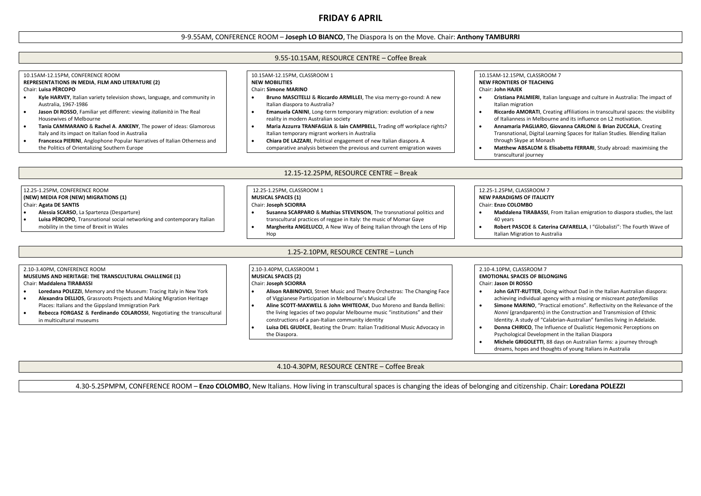# **FRIDAY 6 APRIL**

### 9-9.55AM, CONFERENCE ROOM – **Joseph LO BIANCO**, The Diaspora Is on the Move. Chair: **Anthony TAMBURRI**

#### 9.55-10.15AM, RESOURCE CENTRE – Coffee Break 10.15AM-12.15PM, CONFERENCE ROOM **REPRESENTATIONS IN MEDIA**, **FILM AND LITERATURE (2)** Chair: **Luisa PÈRCOPO Kyle HARVEY**, Italian variety television shows, language, and community in Australia, 1967-1986 **Jason DI ROSSO**, Familiar yet different: viewing *italianità* in The Real Housewives of Melbourne **Tania CAMMARANO** & **Rachel A**. **ANKENY**, The power of ideas: Glamorous Italy and its impact on Italian food in Australia **Francesca PIERINI**, Anglophone Popular Narratives of Italian Otherness and the Politics of Orientalizing Southern Europe 10.15AM-12.15PM, CLASSROOM 1 **NEW MOBILITIES** Chair**: Simone MARINO Bruno MASCITELLI** & **Riccardo ARMILLEI**, The visa merry-go-round: A new Italian diaspora to Australia? **Emanuela CANINI**, Long-term temporary migration: evolution of a new reality in modern Australian society **Maria Azzurra TRANFAGLIA** & **Iain CAMPBELL**, Trading off workplace rights? Italian temporary migrant workers in Australia **Chiara DE LAZZARI**, Political engagement of new Italian diaspora. A comparative analysis between the previous and current emigration waves 10.15AM-12.15PM, CLASSROOM 7 **NEW FRONTIERS OF TEACHING** Chair: **John HAJEK Cristiana PALMIERI**, Italian language and culture in Australia: The impact of Italian migration **Riccardo AMORATI**, Creating affiliations in transcultural spaces: the visibility of Italianness in Melbourne and its influence on L2 motivation. **Annamaria PAGLIARO**, **Giovanna CARLONI** & **Brian ZUCCALA**, Creating Transnational, Digital Learning Spaces for Italian Studies. Blending Italian through Skype at Monash **Matthew ABSALOM** & **Elisabetta FERRARI**, Study abroad: maximising the transcultural journey 12.15-12.25PM, RESOURCE CENTRE – Break 12.25-1.25PM, CONFERENCE ROOM **(NEW) MEDIA FOR (NEW) MIGRATIONS (1)** Chair: **Agata DE SANTIS Alessia SCARSO**, La Spartenza (Desparture) **Luisa PÈRCOPO**, Transnational social networking and contemporary Italian mobility in the time of Brexit in Wales 12.25-1.25PM, CLASSROOM 1 **MUSICAL SPACES (1)** Chair: **Joseph SCIORRA Susanna SCARPARO** & **Mathias STEVENSON**, The transnational politics and transcultural practices of reggae in Italy: the music of Momar Gaye **Margherita ANGELUCCI**, A New Way of Being Italian through the Lens of Hip Hop 12.25-1.25PM, CLASSROOM 7 **NEW PARADIGMS OF ITALICITY** Chair: **Enzo COLOMBO Maddalena TIRABASSI**, From Italian emigration to diaspora studies, the last 40 years **Robert PASCOE** & **Caterina CAFARELLA**, I "Globalisti": The Fourth Wave of Italian Migration to Australia 1.25-2.10PM, RESOURCE CENTRE – Lunch 2.10-3.40PM, CONFERENCE ROOM **MUSEUMS AND HERITAGE: THE TRANSCULTURAL CHALLENGE (1)** Chair: **Maddalena TIRABASSI Loredana POLEZZI**, Memory and the Museum: Tracing Italy in New York **Alexandra DELLIOS**, Grassroots Projects and Making Migration Heritage Places: Italians and the Gippsland Immigration Park **Rebecca FORGASZ** & **Ferdinando COLAROSSI**, Negotiating the transcultural in multicultural museums 2.10-3.40PM, CLASSROOM 1 **MUSICAL SPACES (2)** Chair: **Joseph SCIORRA Alison RABINOVICI**, Street Music and Theatre Orchestras: The Changing Face of Viggianese Participation in Melbourne's Musical Life **Aline SCOTT-MAXWELL** & **John WHITEOAK**, Duo Moreno and Banda Bellini: the living legacies of two popular Melbourne music "institutions" and their constructions of a pan-Italian community identity **Luisa DEL GIUDICE**, Beating the Drum: Italian Traditional Music Advocacy in the Diaspora. 2.10-4.10PM, CLASSROOM 7 **EMOTIONAL SPACES OF BELONGING** Chair: **Jason DI ROSSO John GATT-RUTTER**, Doing without Dad in the Italian Australian diaspora: achieving individual agency with a missing or miscreant *paterfamilias* **Simone MARINO**, "Practical emotions". Reflectivity on the Relevance of the *Nonni* (grandparents) in the Construction and Transmission of Ethnic Identity. A study of "Calabrian-Australian" families living in Adelaide. **Donna CHIRICO**, The Influence of Dualistic Hegemonic Perceptions on Psychological Development in the Italian Diaspora **Michele GRIGOLETTI**, 88 days on Australian farms: a journey through dreams, hopes and thoughts of young Italians in Australia 4.10-4.30PM, RESOURCE CENTRE – Coffee Break

4.30-5.25PMPM, CONFERENCE ROOM – **Enzo COLOMBO**, New Italians. How living in transcultural spaces is changing the ideas of belonging and citizenship. Chair: **Loredana POLEZZI**